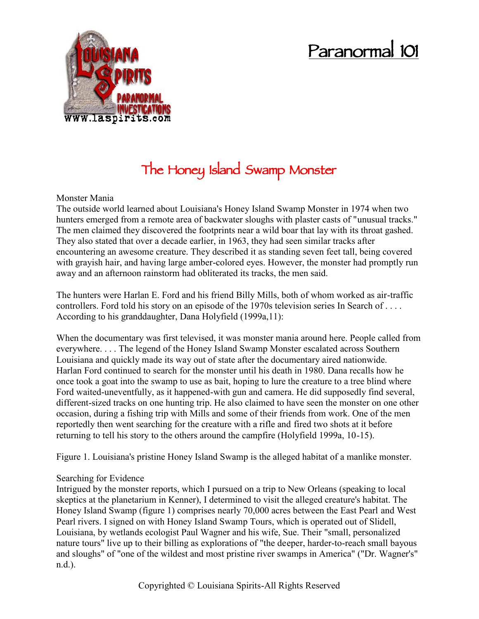# **Paranormal 101**



# **The Honey Island Swamp Monster**

Monster Mania

The outside world learned about Louisiana's Honey Island Swamp Monster in 1974 when two hunters emerged from a remote area of backwater sloughs with plaster casts of "unusual tracks." The men claimed they discovered the footprints near a wild boar that lay with its throat gashed. They also stated that over a decade earlier, in 1963, they had seen similar tracks after encountering an awesome creature. They described it as standing seven feet tall, being covered with grayish hair, and having large amber-colored eyes. However, the monster had promptly run away and an afternoon rainstorm had obliterated its tracks, the men said.

The hunters were Harlan E. Ford and his friend Billy Mills, both of whom worked as air-traffic controllers. Ford told his story on an episode of the 1970s television series In Search of . . . . According to his granddaughter, Dana Holyfield (1999a,11):

When the documentary was first televised, it was monster mania around here. People called from everywhere. . . . The legend of the Honey Island Swamp Monster escalated across Southern Louisiana and quickly made its way out of state after the documentary aired nationwide. Harlan Ford continued to search for the monster until his death in 1980. Dana recalls how he once took a goat into the swamp to use as bait, hoping to lure the creature to a tree blind where Ford waited-uneventfully, as it happened-with gun and camera. He did supposedly find several, different-sized tracks on one hunting trip. He also claimed to have seen the monster on one other occasion, during a fishing trip with Mills and some of their friends from work. One of the men reportedly then went searching for the creature with a rifle and fired two shots at it before returning to tell his story to the others around the campfire (Holyfield 1999a, 10-15).

Figure 1. Louisiana's pristine Honey Island Swamp is the alleged habitat of a manlike monster.

## Searching for Evidence

Intrigued by the monster reports, which I pursued on a trip to New Orleans (speaking to local skeptics at the planetarium in Kenner), I determined to visit the alleged creature's habitat. The Honey Island Swamp (figure 1) comprises nearly 70,000 acres between the East Pearl and West Pearl rivers. I signed on with Honey Island Swamp Tours, which is operated out of Slidell, Louisiana, by wetlands ecologist Paul Wagner and his wife, Sue. Their "small, personalized nature tours" live up to their billing as explorations of "the deeper, harder-to-reach small bayous and sloughs" of "one of the wildest and most pristine river swamps in America" ("Dr. Wagner's" n.d.).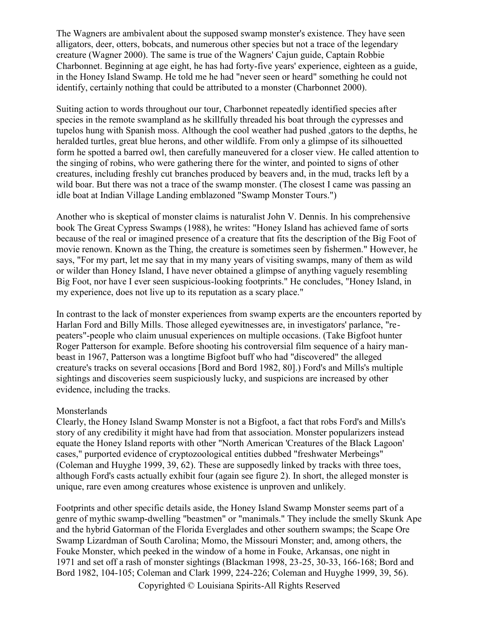The Wagners are ambivalent about the supposed swamp monster's existence. They have seen alligators, deer, otters, bobcats, and numerous other species but not a trace of the legendary creature (Wagner 2000). The same is true of the Wagners' Cajun guide, Captain Robbie Charbonnet. Beginning at age eight, he has had forty-five years' experience, eighteen as a guide, in the Honey Island Swamp. He told me he had "never seen or heard" something he could not identify, certainly nothing that could be attributed to a monster (Charbonnet 2000).

Suiting action to words throughout our tour, Charbonnet repeatedly identified species after species in the remote swampland as he skillfully threaded his boat through the cypresses and tupelos hung with Spanish moss. Although the cool weather had pushed ,gators to the depths, he heralded turtles, great blue herons, and other wildlife. From only a glimpse of its silhouetted form he spotted a barred owl, then carefully maneuvered for a closer view. He called attention to the singing of robins, who were gathering there for the winter, and pointed to signs of other creatures, including freshly cut branches produced by beavers and, in the mud, tracks left by a wild boar. But there was not a trace of the swamp monster. (The closest I came was passing an idle boat at Indian Village Landing emblazoned "Swamp Monster Tours.")

Another who is skeptical of monster claims is naturalist John V. Dennis. In his comprehensive book The Great Cypress Swamps (1988), he writes: "Honey Island has achieved fame of sorts because of the real or imagined presence of a creature that fits the description of the Big Foot of movie renown. Known as the Thing, the creature is sometimes seen by fishermen." However, he says, "For my part, let me say that in my many years of visiting swamps, many of them as wild or wilder than Honey Island, I have never obtained a glimpse of anything vaguely resembling Big Foot, nor have I ever seen suspicious-looking footprints." He concludes, "Honey Island, in my experience, does not live up to its reputation as a scary place."

In contrast to the lack of monster experiences from swamp experts are the encounters reported by Harlan Ford and Billy Mills. Those alleged eyewitnesses are, in investigators' parlance, "re peaters"-people who claim unusual experiences on multiple occasions. (Take Bigfoot hunter Roger Patterson for example. Before shooting his controversial film sequence of a hairy man beast in 1967, Patterson was a longtime Bigfoot buff who had "discovered" the alleged creature's tracks on several occasions [Bord and Bord 1982, 80].) Ford's and Mills's multiple sightings and discoveries seem suspiciously lucky, and suspicions are increased by other evidence, including the tracks.

#### Monsterlands

Clearly, the Honey Island Swamp Monster is not a Bigfoot, a fact that robs Ford's and Mills's story of any credibility it might have had from that association. Monster popularizers instead equate the Honey Island reports with other "North American 'Creatures of the Black Lagoon' cases," purported evidence of cryptozoological entities dubbed "freshwater Merbeings" (Coleman and Huyghe 1999, 39, 62). These are supposedly linked by tracks with three toes, although Ford's casts actually exhibit four (again see figure 2). In short, the alleged monster is unique, rare even among creatures whose existence is unproven and unlikely.

Footprints and other specific details aside, the Honey Island Swamp Monster seems part of a genre of mythic swamp-dwelling "beastmen" or "manimals." They include the smelly Skunk Ape and the hybrid Gatorman of the Florida Everglades and other southern swamps; the Scape Ore Swamp Lizardman of South Carolina; Momo, the Missouri Monster; and, among others, the Fouke Monster, which peeked in the window of a home in Fouke, Arkansas, one night in 1971 and set off a rash of monster sightings (Blackman 1998, 23-25, 30-33, 166-168; Bord and Bord 1982, 104-105; Coleman and Clark 1999, 224-226; Coleman and Huyghe 1999, 39, 56).

Copyrighted © Louisiana Spirits-All Rights Reserved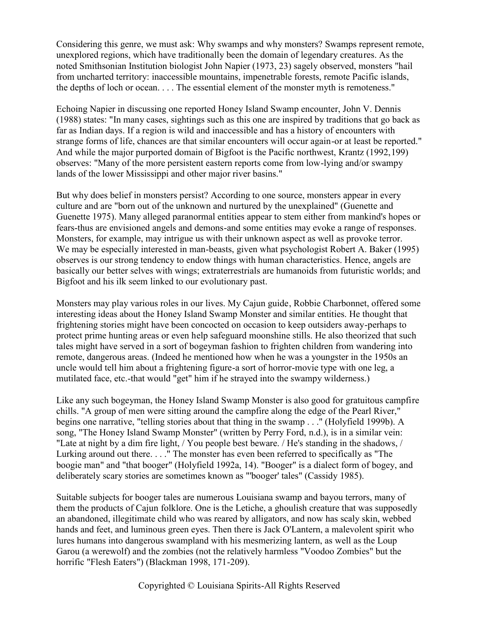Considering this genre, we must ask: Why swamps and why monsters? Swamps represent remote, unexplored regions, which have traditionally been the domain of legendary creatures. As the noted Smithsonian Institution biologist John Napier (1973, 23) sagely observed, monsters "hail from uncharted territory: inaccessible mountains, impenetrable forests, remote Pacific islands, the depths of loch or ocean. . . . The essential element of the monster myth is remoteness."

Echoing Napier in discussing one reported Honey Island Swamp encounter, John V. Dennis (1988) states: "In many cases, sightings such as this one are inspired by traditions that go back as far as Indian days. If a region is wild and inaccessible and has a history of encounters with strange forms of life, chances are that similar encounters will occur again-or at least be reported." And while the major purported domain of Bigfoot is the Pacific northwest, Krantz (1992,199) observes: "Many of the more persistent eastern reports come from low-lying and/or swampy lands of the lower Mississippi and other major river basins."

But why does belief in monsters persist? According to one source, monsters appear in every culture and are "born out of the unknown and nurtured by the unexplained" (Guenette and Guenette 1975). Many alleged paranormal entities appear to stem either from mankind's hopes or fears-thus are envisioned angels and demons-and some entities may evoke a range of responses. Monsters, for example, may intrigue us with their unknown aspect as well as provoke terror. We may be especially interested in man-beasts, given what psychologist Robert A. Baker (1995) observes is our strong tendency to endow things with human characteristics. Hence, angels are basically our better selves with wings; extraterrestrials are humanoids from futuristic worlds; and Bigfoot and his ilk seem linked to our evolutionary past.

Monsters may play various roles in our lives. My Cajun guide, Robbie Charbonnet, offered some interesting ideas about the Honey Island Swamp Monster and similar entities. He thought that frightening stories might have been concocted on occasion to keep outsiders away-perhaps to protect prime hunting areas or even help safeguard moonshine stills. He also theorized that such tales might have served in a sort of bogeyman fashion to frighten children from wandering into remote, dangerous areas. (Indeed he mentioned how when he was a youngster in the 1950s an uncle would tell him about a frightening figure-a sort of horror-movie type with one leg, a mutilated face, etc.-that would "get" him if he strayed into the swampy wilderness.)

Like any such bogeyman, the Honey Island Swamp Monster is also good for gratuitous campfire chills. "A group of men were sitting around the campfire along the edge of the Pearl River," begins one narrative, "telling stories about that thing in the swamp . . ." (Holyfield 1999b). A song, "The Honey Island Swamp Monster" (written by Perry Ford, n.d.), is in a similar vein: "Late at night by a dim fire light, / You people best beware. / He's standing in the shadows, / Lurking around out there. . . ." The monster has even been referred to specifically as "The boogie man" and "that booger" (Holyfield 1992a, 14). "Booger" is a dialect form of bogey, and deliberately scary stories are sometimes known as "'booger' tales" (Cassidy 1985).

Suitable subjects for booger tales are numerous Louisiana swamp and bayou terrors, many of them the products of Cajun folklore. One is the Letiche, a ghoulish creature that was supposedly an abandoned, illegitimate child who was reared by alligators, and now has scaly skin, webbed hands and feet, and luminous green eyes. Then there is Jack O'Lantern, a malevolent spirit who lures humans into dangerous swampland with his mesmerizing lantern, as well as the Loup Garou (a werewolf) and the zombies (not the relatively harmless "Voodoo Zombies" but the horrific "Flesh Eaters") (Blackman 1998, 171-209).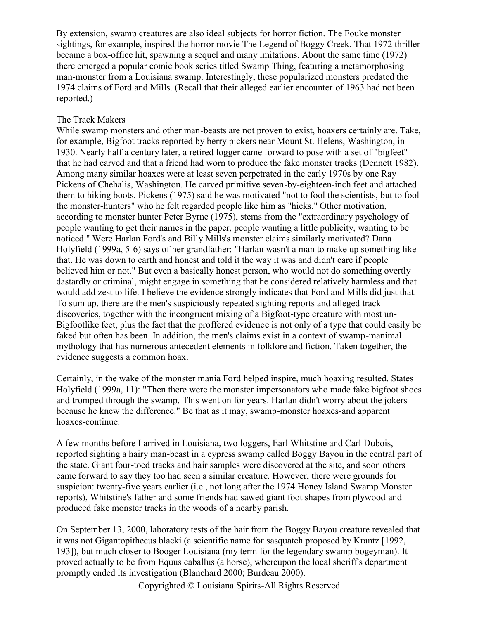By extension, swamp creatures are also ideal subjects for horror fiction. The Fouke monster sightings, for example, inspired the horror movie The Legend of Boggy Creek. That 1972 thriller became a box-office hit, spawning a sequel and many imitations. About the same time (1972) there emerged a popular comic book series titled Swamp Thing, featuring a metamorphosing man-monster from a Louisiana swamp. Interestingly, these popularized monsters predated the 1974 claims of Ford and Mills. (Recall that their alleged earlier encounter of 1963 had not been reported.)

### The Track Makers

While swamp monsters and other man-beasts are not proven to exist, hoaxers certainly are. Take, for example, Bigfoot tracks reported by berry pickers near Mount St. Helens, Washington, in 1930. Nearly half a century later, a retired logger came forward to pose with a set of "bigfeet" that he had carved and that a friend had worn to produce the fake monster tracks (Dennett 1982). Among many similar hoaxes were at least seven perpetrated in the early 1970s by one Ray Pickens of Chehalis, Washington. He carved primitive seven-by-eighteen-inch feet and attached them to hiking boots. Pickens (1975) said he was motivated "not to fool the scientists, but to fool the monster-hunters" who he felt regarded people like him as "hicks." Other motivation, according to monster hunter Peter Byrne (1975), stems from the "extraordinary psychology of people wanting to get their names in the paper, people wanting a little publicity, wanting to be noticed." Were Harlan Ford's and Billy Mills's monster claims similarly motivated? Dana Holyfield (1999a, 5-6) says of her grandfather: "Harlan wasn't a man to make up something like that. He was down to earth and honest and told it the way it was and didn't care if people believed him or not." But even a basically honest person, who would not do something overtly dastardly or criminal, might engage in something that he considered relatively harmless and that would add zest to life. I believe the evidence strongly indicates that Ford and Mills did just that. To sum up, there are the men's suspiciously repeated sighting reports and alleged track discoveries, together with the incongruent mixing of a Bigfoot-type creature with most un- Bigfootlike feet, plus the fact that the proffered evidence is not only of a type that could easily be faked but often has been. In addition, the men's claims exist in a context of swamp-manimal mythology that has numerous antecedent elements in folklore and fiction. Taken together, the evidence suggests a common hoax.

Certainly, in the wake of the monster mania Ford helped inspire, much hoaxing resulted. States Holyfield (1999a, 11): "Then there were the monster impersonators who made fake bigfoot shoes and tromped through the swamp. This went on for years. Harlan didn't worry about the jokers because he knew the difference." Be that as it may, swamp-monster hoaxes-and apparent hoaxes-continue.

A few months before I arrived in Louisiana, two loggers, Earl Whitstine and Carl Dubois, reported sighting a hairy man-beast in a cypress swamp called Boggy Bayou in the central part of the state. Giant four-toed tracks and hair samples were discovered at the site, and soon others came forward to say they too had seen a similar creature. However, there were grounds for suspicion: twenty-five years earlier (i.e., not long after the 1974 Honey Island Swamp Monster reports), Whitstine's father and some friends had sawed giant foot shapes from plywood and produced fake monster tracks in the woods of a nearby parish.

On September 13, 2000, laboratory tests of the hair from the Boggy Bayou creature revealed that it was not Gigantopithecus blacki (a scientific name for sasquatch proposed by Krantz [1992, 193]), but much closer to Booger Louisiana (my term for the legendary swamp bogeyman). It proved actually to be from Equus caballus (a horse), whereupon the local sheriff's department promptly ended its investigation (Blanchard 2000; Burdeau 2000).

Copyrighted © Louisiana Spirits-All Rights Reserved